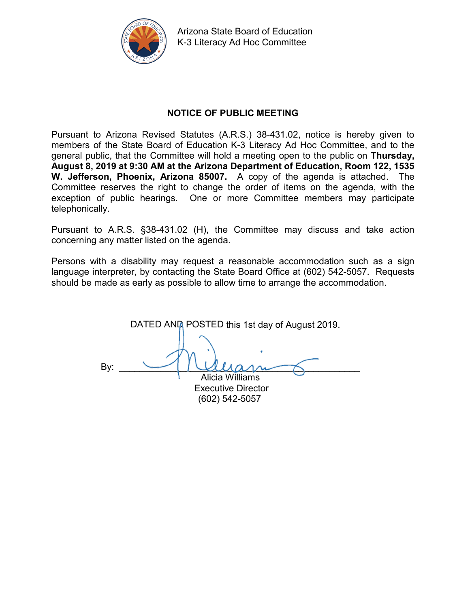

Arizona State Board of Education K-3 Literacy Ad Hoc Committee

### **NOTICE OF PUBLIC MEETING**

Pursuant to Arizona Revised Statutes (A.R.S.) 38-431.02, notice is hereby given to members of the State Board of Education K-3 Literacy Ad Hoc Committee, and to the general public, that the Committee will hold a meeting open to the public on **Thursday, August 8, 2019 at 9:30 AM at the Arizona Department of Education, Room 122, 1535 W. Jefferson, Phoenix, Arizona 85007.** A copy of the agenda is attached. The Committee reserves the right to change the order of items on the agenda, with the exception of public hearings. One or more Committee members may participate telephonically.

Pursuant to A.R.S. §38-431.02 (H), the Committee may discuss and take action concerning any matter listed on the agenda.

Persons with a disability may request a reasonable accommodation such as a sign language interpreter, by contacting the State Board Office at (602) 542-5057. Requests should be made as early as possible to allow time to arrange the accommodation.

DATED AND POSTED this 1st day of August 2019. By:  $\longrightarrow$  dlament Alicia Williams

Executive Director (602) 542-5057